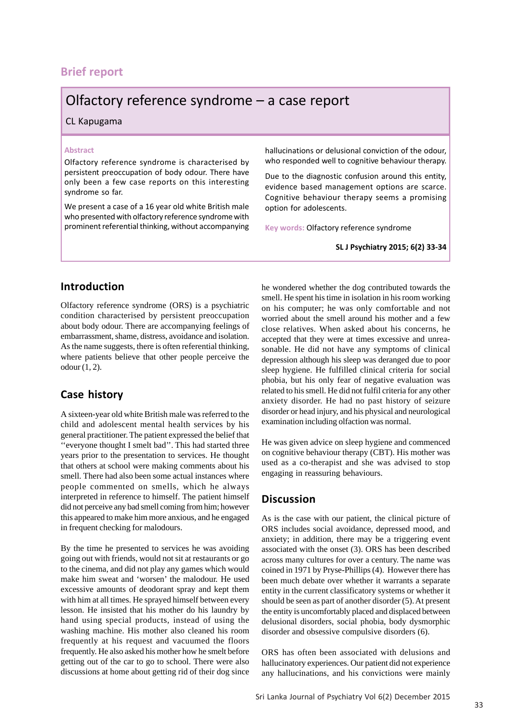# **Brief report**

# Olfactory reference syndrome – a case report

#### CL Kapugama

#### **Abstract**

Olfactory reference syndrome is characterised by persistent preoccupation of body odour. There have only been a few case reports on this interesting syndrome so far.

We present a case of a 16 year old white British male who presented with olfactory reference syndrome with prominent referential thinking, without accompanying hallucinations or delusional conviction of the odour, who responded well to cognitive behaviour therapy.

Due to the diagnostic confusion around this entity, evidence based management options are scarce. Cognitive behaviour therapy seems a promising option for adolescents.

**Key words:** Olfactory reference syndrome

**SL J Psychiatry 2015; 6(2) 33-34**

### **Introduction**

Olfactory reference syndrome (ORS) is a psychiatric condition characterised by persistent preoccupation about body odour. There are accompanying feelings of embarrassment, shame, distress, avoidance and isolation. As the name suggests, there is often referential thinking, where patients believe that other people perceive the odour (1, 2).

## **Case history**

A sixteen-year old white British male was referred to the child and adolescent mental health services by his general practitioner. The patient expressed the belief that ''everyone thought I smelt bad''. This had started three years prior to the presentation to services. He thought that others at school were making comments about his smell. There had also been some actual instances where people commented on smells, which he always interpreted in reference to himself. The patient himself did not perceive any bad smell coming from him; however this appeared to make him more anxious, and he engaged in frequent checking for malodours.

By the time he presented to services he was avoiding going out with friends, would not sit at restaurants or go to the cinema, and did not play any games which would make him sweat and 'worsen' the malodour. He used excessive amounts of deodorant spray and kept them with him at all times. He sprayed himself between every lesson. He insisted that his mother do his laundry by hand using special products, instead of using the washing machine. His mother also cleaned his room frequently at his request and vacuumed the floors frequently. He also asked his mother how he smelt before getting out of the car to go to school. There were also discussions at home about getting rid of their dog since he wondered whether the dog contributed towards the smell. He spent his time in isolation in his room working on his computer; he was only comfortable and not worried about the smell around his mother and a few close relatives. When asked about his concerns, he accepted that they were at times excessive and unreasonable. He did not have any symptoms of clinical depression although his sleep was deranged due to poor sleep hygiene. He fulfilled clinical criteria for social phobia, but his only fear of negative evaluation was related to his smell. He did not fulfil criteria for any other anxiety disorder. He had no past history of seizure disorder or head injury, and his physical and neurological examination including olfaction was normal.

He was given advice on sleep hygiene and commenced on cognitive behaviour therapy (CBT). His mother was used as a co-therapist and she was advised to stop engaging in reassuring behaviours.

### **Discussion**

As is the case with our patient, the clinical picture of ORS includes social avoidance, depressed mood, and anxiety; in addition, there may be a triggering event associated with the onset (3). ORS has been described across many cultures for over a century. The name was coined in 1971 by Pryse-Phillips (4). However there has been much debate over whether it warrants a separate entity in the current classificatory systems or whether it should be seen as part of another disorder (5). At present the entity is uncomfortably placed and displaced between delusional disorders, social phobia, body dysmorphic disorder and obsessive compulsive disorders (6).

ORS has often been associated with delusions and hallucinatory experiences. Our patient did not experience any hallucinations, and his convictions were mainly